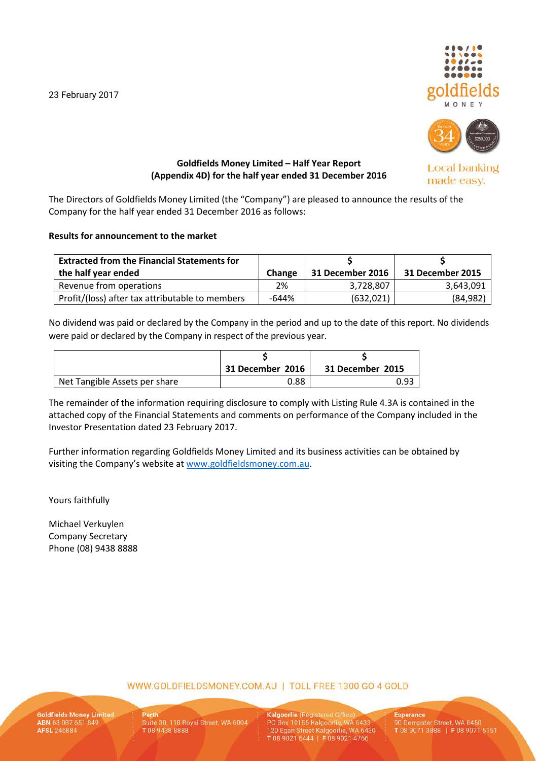23 February 2017





**Local banking** made easy.

# **Goldfields Money Limited – Half Year Report (Appendix 4D) for the half year ended 31 December 2016**

The Directors of Goldfields Money Limited (the "Company") are pleased to announce the results of the Company for the half year ended 31 December 2016 as follows:

# **Results for announcement to the market**

| <b>Extracted from the Financial Statements for</b> |               |                  |                  |
|----------------------------------------------------|---------------|------------------|------------------|
| the half year ended                                | <b>Change</b> | 31 December 2016 | 31 December 2015 |
| Revenue from operations                            | 2%            | 3,728,807        | 3,643,091        |
| Profit/(loss) after tax attributable to members    | -644%         | (632, 021)       | (84, 982)        |

No dividend was paid or declared by the Company in the period and up to the date of this report. No dividends were paid or declared by the Company in respect of the previous year.

|                               | 31 December 2016 | 31 December 2015 |
|-------------------------------|------------------|------------------|
| Net Tangible Assets per share | 0.88             | 0.93             |

The remainder of the information requiring disclosure to comply with Listing Rule 4.3A is contained in the attached copy of the Financial Statements and comments on performance of the Company included in the Investor Presentation dated 23 February 2017.

Further information regarding Goldfields Money Limited and its business activities can be obtained by visiting the Company's website at [www.goldfieldsmoney.com.au.](http://www.goldfieldsmoney.com.au/)

Yours faithfully

Michael Verkuylen Company Secretary Phone (08) 9438 8888

WWW.GOLDFIELDSMONEY.COM.AU | TOLL FREE 1300 GO 4 GOLD

**Goldfields Money Limited** ABN 63 087 651 849

Suite 30, 118 Royal Street, WA 6004 T0894388888

Kalgoorlie (Registered Office PO Box 10155 Kalgoorlie, WA 6433 120 Egan Street Kalgoorlie, WA 6430 T 08 9021 6444 | F 08 9021 4766

**Esperance** 90 Dempster Street, WA 6450 T08 9071 3888 | F08 9071 5151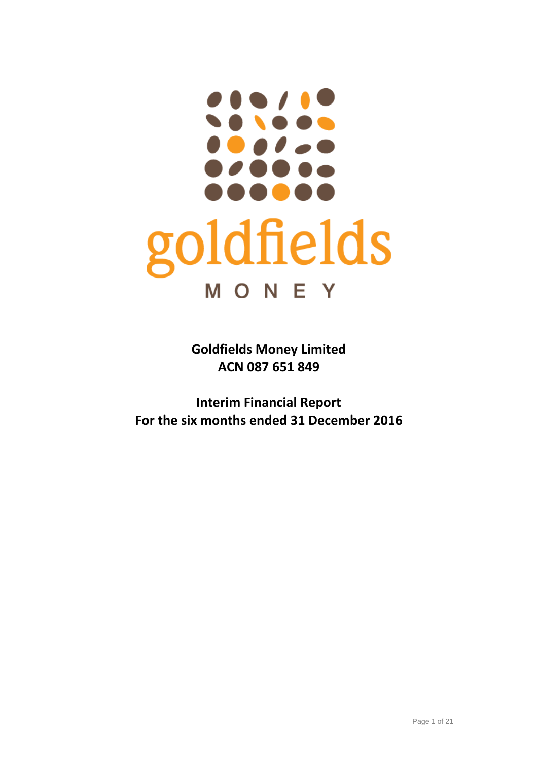# *.* **. . . . . . . .** goldfields **MONEY**

**Goldfields Money Limited ACN 087 651 849**

**Interim Financial Report For the six months ended 31 December 2016**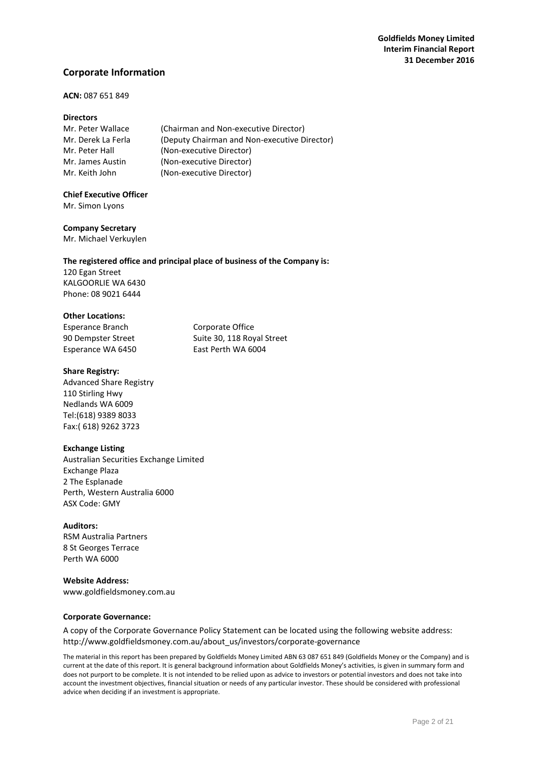# **Corporate Information**

# **ACN:** 087 651 849

## **Directors**

| Mr. Peter Wallace  | (Chairman and Non-executive Director)        |
|--------------------|----------------------------------------------|
| Mr. Derek La Ferla | (Deputy Chairman and Non-executive Director) |
| Mr. Peter Hall     | (Non-executive Director)                     |
| Mr. James Austin   | (Non-executive Director)                     |
| Mr. Keith John     | (Non-executive Director)                     |

# **Chief Executive Officer**

Mr. Simon Lyons

#### **Company Secretary**

Mr. Michael Verkuylen

## **The registered office and principal place of business of the Company is:**

120 Egan Street KALGOORLIE WA 6430 Phone: 08 9021 6444

#### **Other Locations:**

Esperance Branch Corporate Office Esperance WA 6450 East Perth WA 6004

90 Dempster Street Suite 30, 118 Royal Street

#### **Share Registry:**

Advanced Share Registry 110 Stirling Hwy Nedlands WA 6009 Tel:(618) 9389 8033 Fax:( 618) 9262 3723

## **Exchange Listing**

Australian Securities Exchange Limited Exchange Plaza 2 The Esplanade Perth, Western Australia 6000 ASX Code: GMY

**Auditors:** RSM Australia Partners 8 St Georges Terrace Perth WA 6000

### **Website Address:** [www.goldfieldsmoney.com.au](http://www.goldfieldsmoney.com.au/)

## **Corporate Governance:**

A copy of the Corporate Governance Policy Statement can be located using the following website address: [http://www.goldfieldsmoney.com.au/about\\_us/investors/corporate-governance](http://www.goldfieldsmoney.com.au/about_us/investors/corporate-governance)

The material in this report has been prepared by Goldfields Money Limited ABN 63 087 651 849 (Goldfields Money or the Company) and is current at the date of this report. It is general background information about Goldfields Money's activities, is given in summary form and does not purport to be complete. It is not intended to be relied upon as advice to investors or potential investors and does not take into account the investment objectives, financial situation or needs of any particular investor. These should be considered with professional advice when deciding if an investment is appropriate.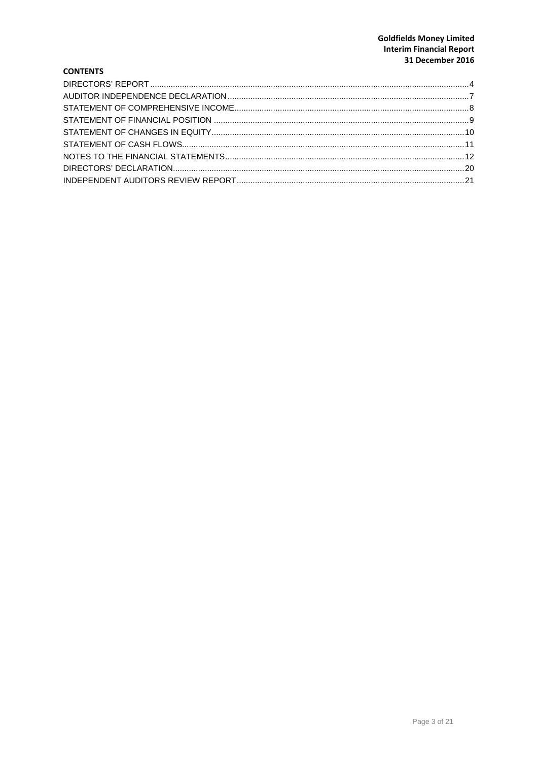# **Goldfields Money Limited Interim Financial Report** 31 December 2016

# **CONTENTS**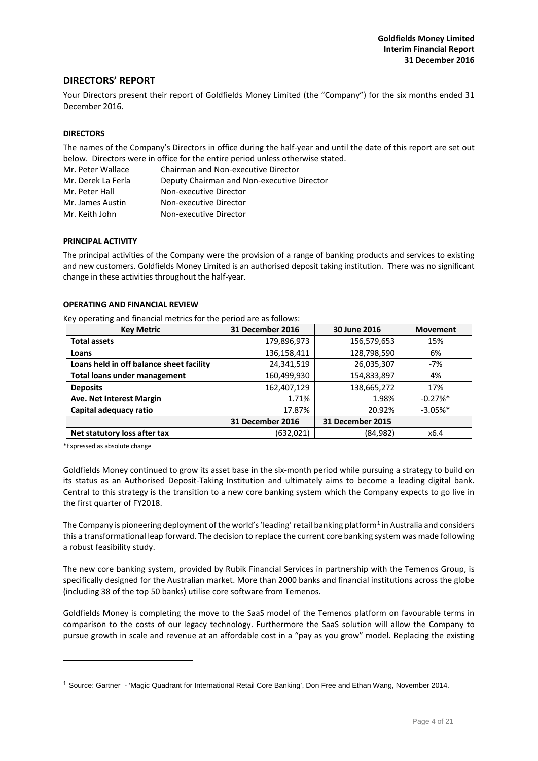# <span id="page-4-0"></span>**DIRECTORS' REPORT**

Your Directors present their report of Goldfields Money Limited (the "Company") for the six months ended 31 December 2016.

#### **DIRECTORS**

The names of the Company's Directors in office during the half-year and until the date of this report are set out below. Directors were in office for the entire period unless otherwise stated.

| Mr. Peter Wallace  | Chairman and Non-executive Director        |
|--------------------|--------------------------------------------|
| Mr. Derek La Ferla | Deputy Chairman and Non-executive Director |
| Mr. Peter Hall     | Non-executive Director                     |
| Mr. James Austin   | Non-executive Director                     |
| Mr. Keith John     | Non-executive Director                     |

#### **PRINCIPAL ACTIVITY**

The principal activities of the Company were the provision of a range of banking products and services to existing and new customers. Goldfields Money Limited is an authorised deposit taking institution. There was no significant change in these activities throughout the half-year.

## **OPERATING AND FINANCIAL REVIEW**

Key operating and financial metrics for the period are as follows:

| <b>Key Metric</b>                        | 31 December 2016 | 30 June 2016     | <b>Movement</b> |
|------------------------------------------|------------------|------------------|-----------------|
| <b>Total assets</b>                      | 179,896,973      | 156,579,653      | 15%             |
| Loans                                    | 136,158,411      | 128,798,590      | 6%              |
| Loans held in off balance sheet facility | 24,341,519       | 26,035,307       | $-7%$           |
| <b>Total loans under management</b>      | 160,499,930      | 154,833,897      | 4%              |
| <b>Deposits</b>                          | 162,407,129      | 138,665,272      | 17%             |
| Ave. Net Interest Margin                 | 1.71%            | 1.98%            | $-0.27%$ *      |
| Capital adequacy ratio                   | 17.87%           | 20.92%           | $-3.05%$ *      |
|                                          | 31 December 2016 | 31 December 2015 |                 |
| Net statutory loss after tax             | (632, 021)       | (84, 982)        | x6.4            |

\*Expressed as absolute change

-

Goldfields Money continued to grow its asset base in the six-month period while pursuing a strategy to build on its status as an Authorised Deposit-Taking Institution and ultimately aims to become a leading digital bank. Central to this strategy is the transition to a new core banking system which the Company expects to go live in the first quarter of FY2018.

The Company is pioneering deployment of the world's 'leading' retail banking platform<sup>[1](#page-4-1)</sup> in Australia and considers this a transformational leap forward. The decision to replace the current core banking system was made following a robust feasibility study.

The new core banking system, provided by Rubik Financial Services in partnership with the Temenos Group, is specifically designed for the Australian market. More than 2000 banks and financial institutions across the globe (including 38 of the top 50 banks) utilise core software from Temenos.

Goldfields Money is completing the move to the SaaS model of the Temenos platform on favourable terms in comparison to the costs of our legacy technology. Furthermore the SaaS solution will allow the Company to pursue growth in scale and revenue at an affordable cost in a "pay as you grow" model. Replacing the existing

<span id="page-4-1"></span><sup>1</sup> Source: Gartner - 'Magic Quadrant for International Retail Core Banking', Don Free and Ethan Wang, November 2014.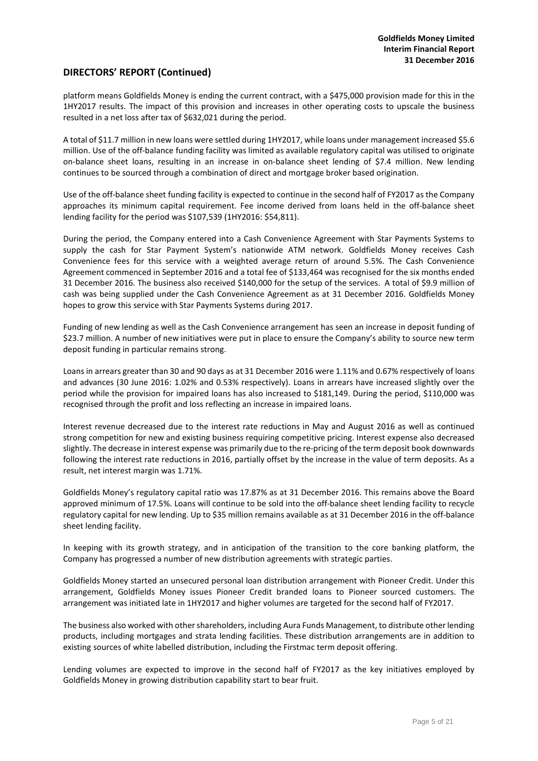# **DIRECTORS' REPORT (Continued)**

platform means Goldfields Money is ending the current contract, with a \$475,000 provision made for this in the 1HY2017 results. The impact of this provision and increases in other operating costs to upscale the business resulted in a net loss after tax of \$632,021 during the period.

A total of \$11.7 million in new loans were settled during 1HY2017, while loans under management increased \$5.6 million. Use of the off-balance funding facility was limited as available regulatory capital was utilised to originate on-balance sheet loans, resulting in an increase in on-balance sheet lending of \$7.4 million. New lending continues to be sourced through a combination of direct and mortgage broker based origination.

Use of the off-balance sheet funding facility is expected to continue in the second half of FY2017 as the Company approaches its minimum capital requirement. Fee income derived from loans held in the off-balance sheet lending facility for the period was \$107,539 (1HY2016: \$54,811).

During the period, the Company entered into a Cash Convenience Agreement with Star Payments Systems to supply the cash for Star Payment System's nationwide ATM network. Goldfields Money receives Cash Convenience fees for this service with a weighted average return of around 5.5%. The Cash Convenience Agreement commenced in September 2016 and a total fee of \$133,464 was recognised for the six months ended 31 December 2016. The business also received \$140,000 for the setup of the services. A total of \$9.9 million of cash was being supplied under the Cash Convenience Agreement as at 31 December 2016. Goldfields Money hopes to grow this service with Star Payments Systems during 2017.

Funding of new lending as well as the Cash Convenience arrangement has seen an increase in deposit funding of \$23.7 million. A number of new initiatives were put in place to ensure the Company's ability to source new term deposit funding in particular remains strong.

Loans in arrears greater than 30 and 90 days as at 31 December 2016 were 1.11% and 0.67% respectively of loans and advances (30 June 2016: 1.02% and 0.53% respectively). Loans in arrears have increased slightly over the period while the provision for impaired loans has also increased to \$181,149. During the period, \$110,000 was recognised through the profit and loss reflecting an increase in impaired loans.

Interest revenue decreased due to the interest rate reductions in May and August 2016 as well as continued strong competition for new and existing business requiring competitive pricing. Interest expense also decreased slightly. The decrease in interest expense was primarily due to the re-pricing of the term deposit book downwards following the interest rate reductions in 2016, partially offset by the increase in the value of term deposits. As a result, net interest margin was 1.71%.

Goldfields Money's regulatory capital ratio was 17.87% as at 31 December 2016. This remains above the Board approved minimum of 17.5%. Loans will continue to be sold into the off-balance sheet lending facility to recycle regulatory capital for new lending. Up to \$35 million remains available as at 31 December 2016 in the off-balance sheet lending facility.

In keeping with its growth strategy, and in anticipation of the transition to the core banking platform, the Company has progressed a number of new distribution agreements with strategic parties.

Goldfields Money started an unsecured personal loan distribution arrangement with Pioneer Credit. Under this arrangement, Goldfields Money issues Pioneer Credit branded loans to Pioneer sourced customers. The arrangement was initiated late in 1HY2017 and higher volumes are targeted for the second half of FY2017.

The business also worked with other shareholders, including Aura Funds Management, to distribute other lending products, including mortgages and strata lending facilities. These distribution arrangements are in addition to existing sources of white labelled distribution, including the Firstmac term deposit offering.

Lending volumes are expected to improve in the second half of FY2017 as the key initiatives employed by Goldfields Money in growing distribution capability start to bear fruit.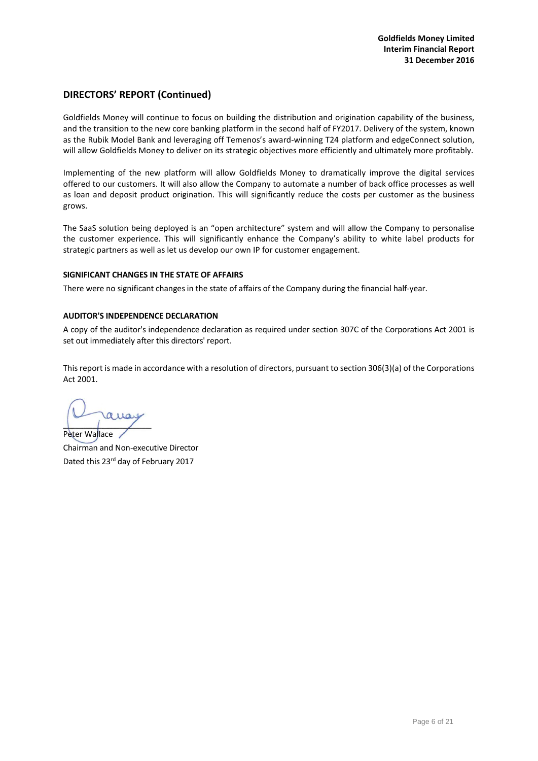# **DIRECTORS' REPORT (Continued)**

Goldfields Money will continue to focus on building the distribution and origination capability of the business, and the transition to the new core banking platform in the second half of FY2017. Delivery of the system, known as the Rubik Model Bank and leveraging off Temenos's award-winning T24 platform and edgeConnect solution, will allow Goldfields Money to deliver on its strategic objectives more efficiently and ultimately more profitably.

Implementing of the new platform will allow Goldfields Money to dramatically improve the digital services offered to our customers. It will also allow the Company to automate a number of back office processes as well as loan and deposit product origination. This will significantly reduce the costs per customer as the business grows.

The SaaS solution being deployed is an "open architecture" system and will allow the Company to personalise the customer experience. This will significantly enhance the Company's ability to white label products for strategic partners as well as let us develop our own IP for customer engagement.

## **SIGNIFICANT CHANGES IN THE STATE OF AFFAIRS**

There were no significant changes in the state of affairs of the Company during the financial half-year.

## **AUDITOR'S INDEPENDENCE DECLARATION**

A copy of the auditor's independence declaration as required under section 307C of the Corporations Act 2001 is set out immediately after this directors' report.

This report is made in accordance with a resolution of directors, pursuant to section 306(3)(a) of the Corporations Act 2001.

Peter Wallace

Chairman and Non-executive Director Dated this 23<sup>rd</sup> day of February 2017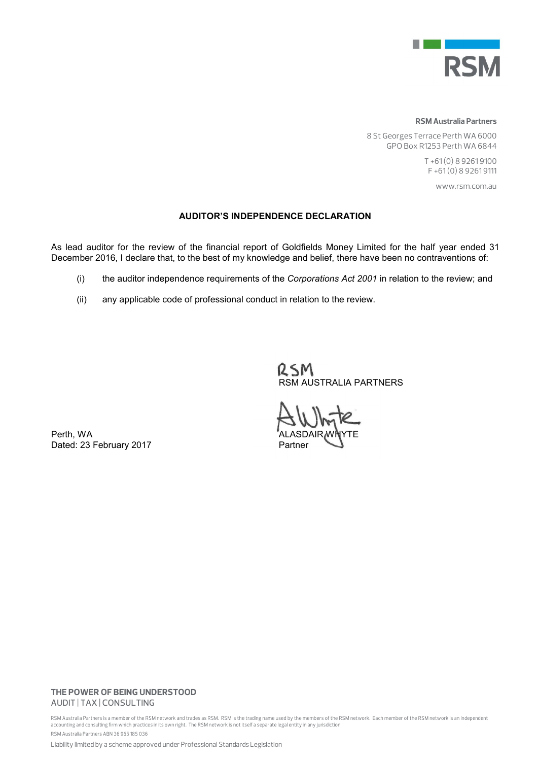

#### **RSM Australia Partners**

8 St Georges Terrace Perth WA 6000 GPO Box R1253 Perth WA 6844

> T +61 (0) 8 9261 9100 F +61 (0) 8 9261 9111

> > www.rsm.com.au

# AUDITOR'S INDEPENDENCE DECLARATION

As lead auditor for the review of the financial report of Goldfields Money Limited for the half year ended 31 December 2016, I declare that, to the best of my knowledge and belief, there have been no contraventions of:

- (i) the auditor independence requirements of the *Corporations Act 2001* in relation to the review; and
- (ii) any applicable code of professional conduct in relation to the review.

RSM RSM AUSTRALIA PARTNERS

Perth, WA Dated: 23 February 2017 **Partner** 

## **THE POWER OF BEING UNDERSTOOD** AUDIT | TAX | CONSULTING

RSM Australia Partners is a member of the RSM network and trades as RSM. RSM is the trading name used by the members of the RSM network. Each member of the RSM network is an independent accounting and consulting firm which practices in its own right. The RSM network is not itself a separate legal entity in any jurisdiction. RSM Australia Partners ABN 36 965 185 036

Liability limited by a scheme approved under Professional Standards Legislation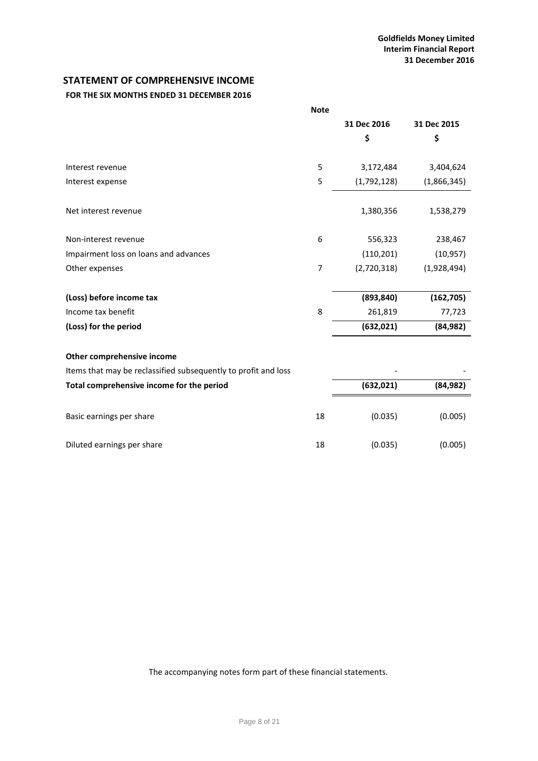# <span id="page-8-0"></span>**STATEMENT OF COMPREHENSIVE INCOME**

# **FOR THE SIX MONTHS ENDED 31 DECEMBER 2016**

|                                                                | <b>Note</b>    |             |             |
|----------------------------------------------------------------|----------------|-------------|-------------|
|                                                                |                | 31 Dec 2016 | 31 Dec 2015 |
|                                                                |                | \$          | \$          |
|                                                                |                |             |             |
| Interest revenue                                               | 5              | 3,172,484   | 3,404,624   |
| Interest expense                                               | 5              | (1,792,128) | (1,866,345) |
| Net interest revenue                                           |                | 1,380,356   | 1,538,279   |
| Non-interest revenue                                           | 6              | 556,323     | 238,467     |
| Impairment loss on loans and advances                          |                | (110, 201)  | (10, 957)   |
| Other expenses                                                 | $\overline{7}$ | (2,720,318) | (1,928,494) |
| (Loss) before income tax                                       |                | (893, 840)  | (162, 705)  |
| Income tax benefit                                             | 8              | 261,819     | 77,723      |
| (Loss) for the period                                          |                | (632, 021)  | (84, 982)   |
| Other comprehensive income                                     |                |             |             |
| Items that may be reclassified subsequently to profit and loss |                |             |             |
| Total comprehensive income for the period                      |                | (632, 021)  | (84, 982)   |
| Basic earnings per share                                       | 18             | (0.035)     | (0.005)     |
| Diluted earnings per share                                     | 18             | (0.035)     | (0.005)     |

The accompanying notes form part of these financial statements.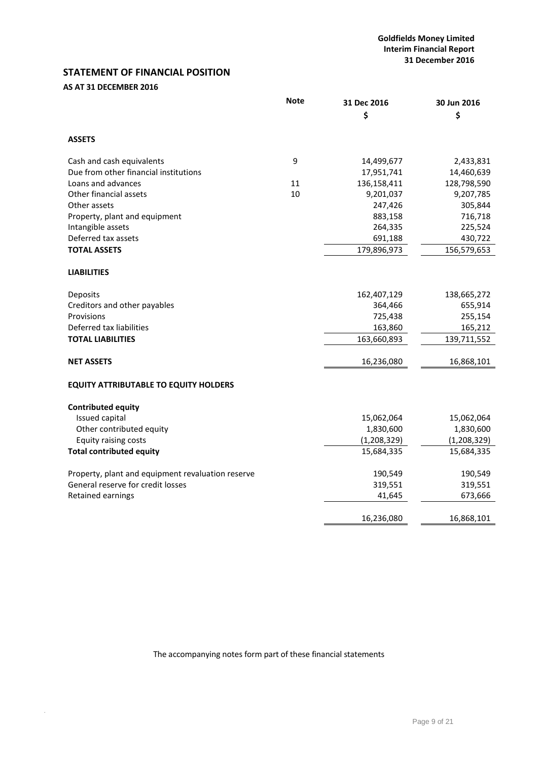# <span id="page-9-0"></span>**STATEMENT OF FINANCIAL POSITION**

# **AS AT 31 DECEMBER 2016**

.

|                                                   | <b>Note</b> | 31 Dec 2016 | 30 Jun 2016 |
|---------------------------------------------------|-------------|-------------|-------------|
|                                                   |             | \$          | \$          |
| <b>ASSETS</b>                                     |             |             |             |
| Cash and cash equivalents                         | 9           | 14,499,677  | 2,433,831   |
| Due from other financial institutions             |             | 17,951,741  | 14,460,639  |
| Loans and advances                                | 11          | 136,158,411 | 128,798,590 |
| Other financial assets                            | 10          | 9,201,037   | 9,207,785   |
| Other assets                                      |             | 247,426     | 305,844     |
| Property, plant and equipment                     |             | 883,158     | 716,718     |
| Intangible assets                                 |             | 264,335     | 225,524     |
| Deferred tax assets                               |             | 691,188     | 430,722     |
| <b>TOTAL ASSETS</b>                               |             | 179,896,973 | 156,579,653 |
| <b>LIABILITIES</b>                                |             |             |             |
| Deposits                                          |             | 162,407,129 | 138,665,272 |
| Creditors and other payables                      |             | 364,466     | 655,914     |
| Provisions                                        |             | 725,438     | 255,154     |
| Deferred tax liabilities                          |             | 163,860     | 165,212     |
| <b>TOTAL LIABILITIES</b>                          |             | 163,660,893 | 139,711,552 |
| <b>NET ASSETS</b>                                 |             | 16,236,080  | 16,868,101  |
| <b>EQUITY ATTRIBUTABLE TO EQUITY HOLDERS</b>      |             |             |             |
| <b>Contributed equity</b>                         |             |             |             |
| Issued capital                                    |             | 15,062,064  | 15,062,064  |
| Other contributed equity                          |             | 1,830,600   | 1,830,600   |
| <b>Equity raising costs</b>                       |             | (1,208,329) | (1,208,329) |
| <b>Total contributed equity</b>                   |             | 15,684,335  | 15,684,335  |
| Property, plant and equipment revaluation reserve |             | 190,549     | 190,549     |
| General reserve for credit losses                 |             | 319,551     | 319,551     |
| Retained earnings                                 |             | 41,645      | 673,666     |
|                                                   |             | 16,236,080  | 16,868,101  |

The accompanying notes form part of these financial statements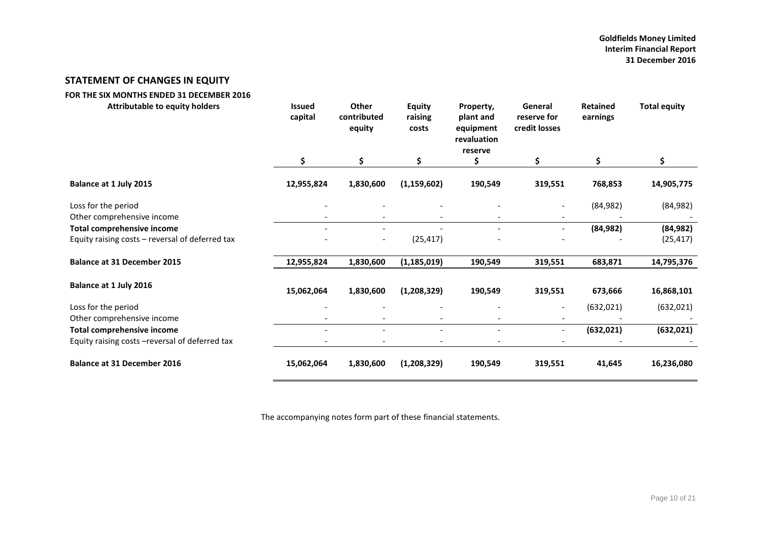## **Goldfields Money Limited Interim Financial Report 31 December 2016**

# **STATEMENT OF CHANGES IN EQUITY**

<span id="page-10-0"></span>

| FOR THE SIX MONTHS ENDED 31 DECEMBER 2016                                            |                          |                                       |                                   |                                                               |                                         |                             |                        |
|--------------------------------------------------------------------------------------|--------------------------|---------------------------------------|-----------------------------------|---------------------------------------------------------------|-----------------------------------------|-----------------------------|------------------------|
| <b>Attributable to equity holders</b>                                                | <b>Issued</b><br>capital | <b>Other</b><br>contributed<br>equity | <b>Equity</b><br>raising<br>costs | Property,<br>plant and<br>equipment<br>revaluation<br>reserve | General<br>reserve for<br>credit losses | <b>Retained</b><br>earnings | <b>Total equity</b>    |
|                                                                                      | \$                       | \$                                    | \$                                | \$                                                            | \$                                      | \$                          | \$                     |
| Balance at 1 July 2015                                                               | 12,955,824               | 1,830,600                             | (1, 159, 602)                     | 190,549                                                       | 319,551                                 | 768,853                     | 14,905,775             |
| Loss for the period                                                                  |                          |                                       |                                   |                                                               |                                         | (84, 982)                   | (84, 982)              |
| Other comprehensive income                                                           |                          |                                       |                                   |                                                               |                                         |                             |                        |
| <b>Total comprehensive income</b><br>Equity raising costs - reversal of deferred tax |                          | $-$                                   | (25, 417)                         |                                                               | $\overline{\phantom{0}}$                | (84, 982)                   | (84, 982)<br>(25, 417) |
| <b>Balance at 31 December 2015</b>                                                   | 12,955,824               | 1,830,600                             | (1, 185, 019)                     | 190,549                                                       | 319,551                                 | 683,871                     | 14,795,376             |
| <b>Balance at 1 July 2016</b>                                                        | 15,062,064               | 1,830,600                             | (1,208,329)                       | 190,549                                                       | 319,551                                 | 673,666                     | 16,868,101             |
| Loss for the period                                                                  |                          |                                       |                                   |                                                               | $\overline{\phantom{a}}$                | (632, 021)                  | (632, 021)             |
| Other comprehensive income                                                           |                          |                                       |                                   |                                                               |                                         |                             |                        |
| <b>Total comprehensive income</b>                                                    |                          |                                       |                                   |                                                               | $\overline{\phantom{a}}$                | (632, 021)                  | (632, 021)             |
| Equity raising costs - reversal of deferred tax                                      |                          |                                       |                                   |                                                               |                                         |                             |                        |
| <b>Balance at 31 December 2016</b>                                                   | 15,062,064               | 1,830,600                             | (1,208,329)                       | 190,549                                                       | 319,551                                 | 41,645                      | 16,236,080             |

The accompanying notes form part of these financial statements.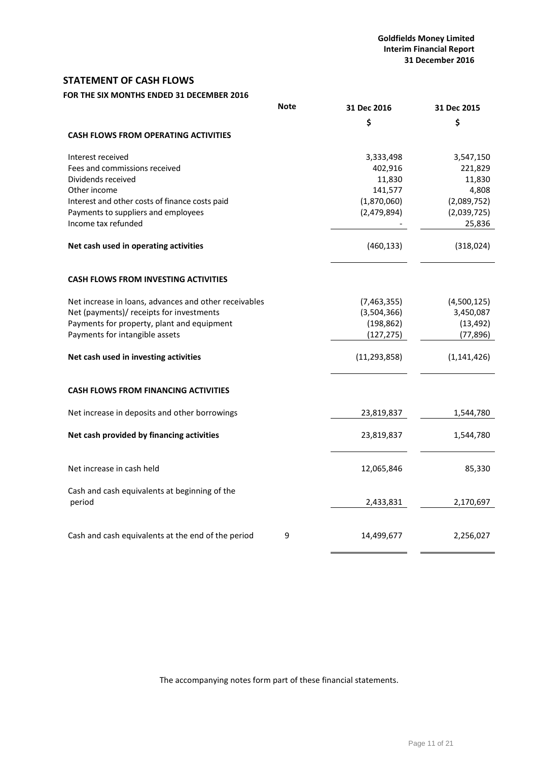# <span id="page-11-0"></span>**STATEMENT OF CASH FLOWS**

**FOR THE SIX MONTHS ENDED 31 DECEMBER 2016**

|                                                         | <b>Note</b> | 31 Dec 2016    | 31 Dec 2015   |
|---------------------------------------------------------|-------------|----------------|---------------|
|                                                         |             | \$             | \$            |
| <b>CASH FLOWS FROM OPERATING ACTIVITIES</b>             |             |                |               |
| Interest received                                       |             | 3,333,498      | 3,547,150     |
| Fees and commissions received                           |             | 402,916        | 221,829       |
| Dividends received                                      |             | 11,830         | 11,830        |
| Other income                                            |             | 141,577        | 4,808         |
| Interest and other costs of finance costs paid          |             | (1,870,060)    | (2,089,752)   |
| Payments to suppliers and employees                     |             | (2,479,894)    | (2,039,725)   |
| Income tax refunded                                     |             |                | 25,836        |
| Net cash used in operating activities                   |             | (460, 133)     | (318, 024)    |
| <b>CASH FLOWS FROM INVESTING ACTIVITIES</b>             |             |                |               |
| Net increase in loans, advances and other receivables   |             | (7,463,355)    | (4,500,125)   |
| Net (payments)/ receipts for investments                |             | (3,504,366)    | 3,450,087     |
| Payments for property, plant and equipment              |             | (198, 862)     | (13, 492)     |
| Payments for intangible assets                          |             | (127, 275)     | (77, 896)     |
| Net cash used in investing activities                   |             | (11, 293, 858) | (1, 141, 426) |
| <b>CASH FLOWS FROM FINANCING ACTIVITIES</b>             |             |                |               |
| Net increase in deposits and other borrowings           |             | 23,819,837     | 1,544,780     |
| Net cash provided by financing activities               |             | 23,819,837     | 1,544,780     |
| Net increase in cash held                               |             | 12,065,846     | 85,330        |
| Cash and cash equivalents at beginning of the<br>period |             | 2,433,831      | 2,170,697     |
|                                                         |             |                |               |
| Cash and cash equivalents at the end of the period      | 9           | 14,499,677     | 2,256,027     |

The accompanying notes form part of these financial statements.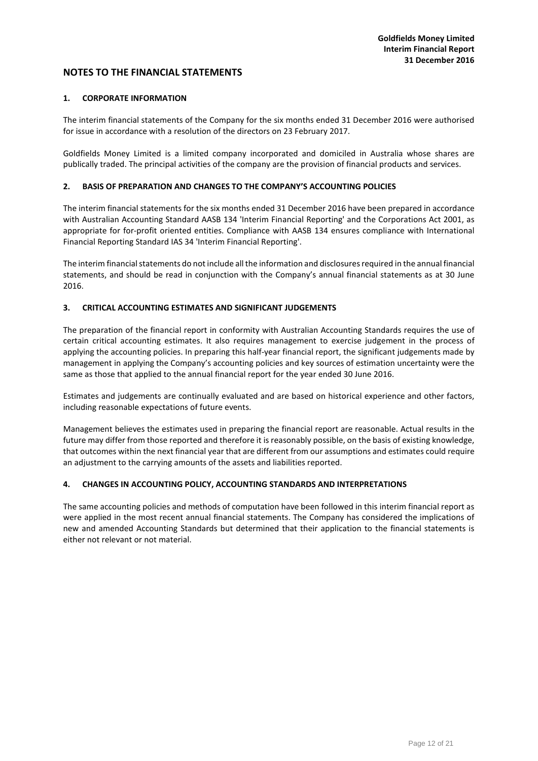### <span id="page-12-0"></span>**1. CORPORATE INFORMATION**

The interim financial statements of the Company for the six months ended 31 December 2016 were authorised for issue in accordance with a resolution of the directors on 23 February 2017.

Goldfields Money Limited is a limited company incorporated and domiciled in Australia whose shares are publically traded. The principal activities of the company are the provision of financial products and services.

#### **2. BASIS OF PREPARATION AND CHANGES TO THE COMPANY'S ACCOUNTING POLICIES**

The interim financial statements for the six months ended 31 December 2016 have been prepared in accordance with Australian Accounting Standard AASB 134 'Interim Financial Reporting' and the Corporations Act 2001, as appropriate for for-profit oriented entities. Compliance with AASB 134 ensures compliance with International Financial Reporting Standard IAS 34 'Interim Financial Reporting'.

The interim financial statements do not include all the information and disclosures required in the annual financial statements, and should be read in conjunction with the Company's annual financial statements as at 30 June 2016.

## **3. CRITICAL ACCOUNTING ESTIMATES AND SIGNIFICANT JUDGEMENTS**

The preparation of the financial report in conformity with Australian Accounting Standards requires the use of certain critical accounting estimates. It also requires management to exercise judgement in the process of applying the accounting policies. In preparing this half-year financial report, the significant judgements made by management in applying the Company's accounting policies and key sources of estimation uncertainty were the same as those that applied to the annual financial report for the year ended 30 June 2016.

Estimates and judgements are continually evaluated and are based on historical experience and other factors, including reasonable expectations of future events.

Management believes the estimates used in preparing the financial report are reasonable. Actual results in the future may differ from those reported and therefore it is reasonably possible, on the basis of existing knowledge, that outcomes within the next financial year that are different from our assumptions and estimates could require an adjustment to the carrying amounts of the assets and liabilities reported.

#### **4. CHANGES IN ACCOUNTING POLICY, ACCOUNTING STANDARDS AND INTERPRETATIONS**

The same accounting policies and methods of computation have been followed in this interim financial report as were applied in the most recent annual financial statements. The Company has considered the implications of new and amended Accounting Standards but determined that their application to the financial statements is either not relevant or not material.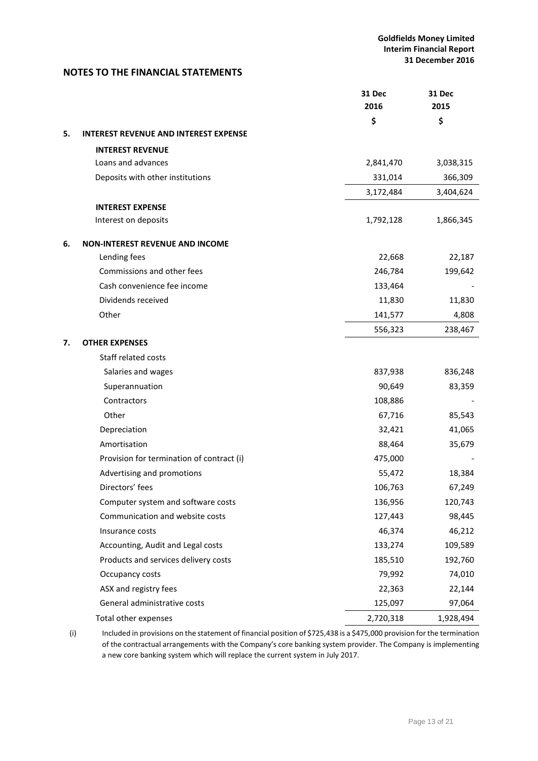|    |                                              | 31 Dec<br>2016 | 31 Dec<br>2015 |
|----|----------------------------------------------|----------------|----------------|
|    |                                              | \$             | \$             |
| 5. | <b>INTEREST REVENUE AND INTEREST EXPENSE</b> |                |                |
|    | <b>INTEREST REVENUE</b>                      |                |                |
|    | Loans and advances                           | 2,841,470      | 3,038,315      |
|    | Deposits with other institutions             | 331,014        | 366,309        |
|    |                                              | 3,172,484      | 3,404,624      |
|    | <b>INTEREST EXPENSE</b>                      |                |                |
|    | Interest on deposits                         | 1,792,128      | 1,866,345      |
| 6. | <b>NON-INTEREST REVENUE AND INCOME</b>       |                |                |
|    | Lending fees                                 | 22,668         | 22,187         |
|    | Commissions and other fees                   | 246,784        | 199,642        |
|    | Cash convenience fee income                  | 133,464        |                |
|    | Dividends received                           | 11,830         | 11,830         |
|    | Other                                        | 141,577        | 4,808          |
|    |                                              | 556,323        | 238,467        |
| 7. | <b>OTHER EXPENSES</b>                        |                |                |
|    | Staff related costs                          |                |                |
|    | Salaries and wages                           | 837,938        | 836,248        |
|    | Superannuation                               | 90,649         | 83,359         |
|    | Contractors                                  | 108,886        |                |
|    | Other                                        | 67,716         | 85,543         |
|    | Depreciation                                 | 32,421         | 41,065         |
|    | Amortisation                                 | 88,464         | 35,679         |
|    | Provision for termination of contract (i)    | 475,000        |                |
|    | Advertising and promotions                   | 55,472         | 18,384         |
|    | Directors' fees                              | 106,763        | 67,249         |
|    | Computer system and software costs           | 136,956        | 120,743        |
|    | Communication and website costs              | 127,443        | 98,445         |
|    | Insurance costs                              | 46,374         | 46,212         |
|    | Accounting, Audit and Legal costs            | 133,274        | 109,589        |
|    | Products and services delivery costs         | 185,510        | 192,760        |
|    | Occupancy costs                              | 79,992         | 74,010         |
|    | ASX and registry fees                        | 22,363         | 22,144         |
|    | General administrative costs                 | 125,097        | 97,064         |
|    | Total other expenses                         | 2,720,318      | 1,928,494      |

(i) Included in provisions on the statement of financial position of \$725,438 is a \$475,000 provision for the termination of the contractual arrangements with the Company's core banking system provider. The Company is implementing a new core banking system which will replace the current system in July 2017.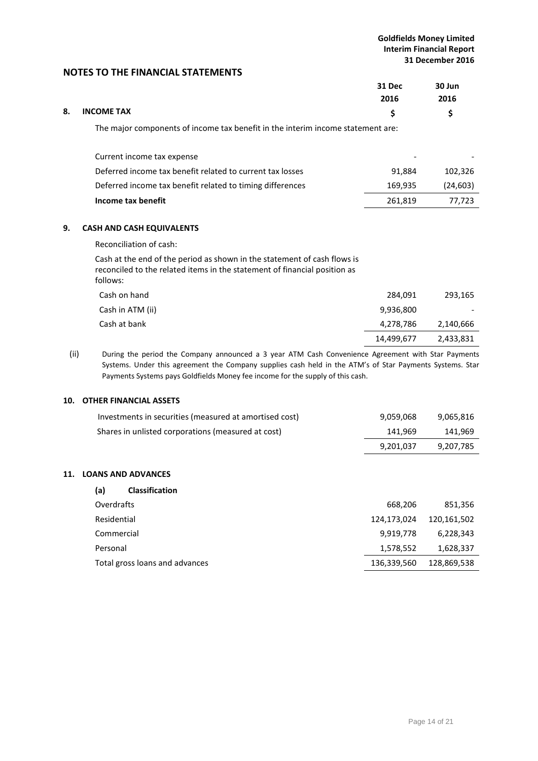|    |                                                                                 | 31 Dec<br>2016 | 30 Jun<br>2016 |
|----|---------------------------------------------------------------------------------|----------------|----------------|
| 8. | <b>INCOME TAX</b>                                                               | \$             | \$             |
|    | The major components of income tax benefit in the interim income statement are: |                |                |
|    | Current income tax expense                                                      |                |                |
|    | Deferred income tax benefit related to current tax losses                       | 91,884         | 102,326        |
|    | Deferred income tax benefit related to timing differences                       | 169,935        | (24, 603)      |
|    | Income tax benefit                                                              | 261,819        | 77,723         |
| 9. | <b>CASH AND CASH EQUIVALENTS</b>                                                |                |                |
|    | Reconciliation of cash:                                                         |                |                |
|    | .                                                                               |                |                |

Cash at the end of the period as shown in the statement of cash flows is reconciled to the related items in the statement of financial position as follows:

| Cash on hand     | 284.091    | 293,165   |
|------------------|------------|-----------|
| Cash in ATM (ii) | 9,936,800  |           |
| Cash at bank     | 4,278,786  | 2,140,666 |
|                  | 14,499,677 | 2,433,831 |
|                  |            |           |

(ii) During the period the Company announced a 3 year ATM Cash Convenience Agreement with Star Payments Systems. Under this agreement the Company supplies cash held in the ATM's of Star Payments Systems. Star Payments Systems pays Goldfields Money fee income for the supply of this cash.

# **10. OTHER FINANCIAL ASSETS**

|            | Investments in securities (measured at amortised cost) | 9,059,068   | 9,065,816   |
|------------|--------------------------------------------------------|-------------|-------------|
|            | Shares in unlisted corporations (measured at cost)     | 141,969     | 141,969     |
|            |                                                        | 9,201,037   | 9,207,785   |
| <b>11.</b> | <b>LOANS AND ADVANCES</b>                              |             |             |
|            | (a)<br><b>Classification</b>                           |             |             |
|            | Overdrafts                                             | 668,206     | 851,356     |
|            | Residential                                            | 124,173,024 | 120,161,502 |
|            | Commercial                                             | 9,919,778   | 6,228,343   |
|            | Personal                                               | 1,578,552   | 1,628,337   |
|            | Total gross loans and advances                         | 136,339,560 | 128,869,538 |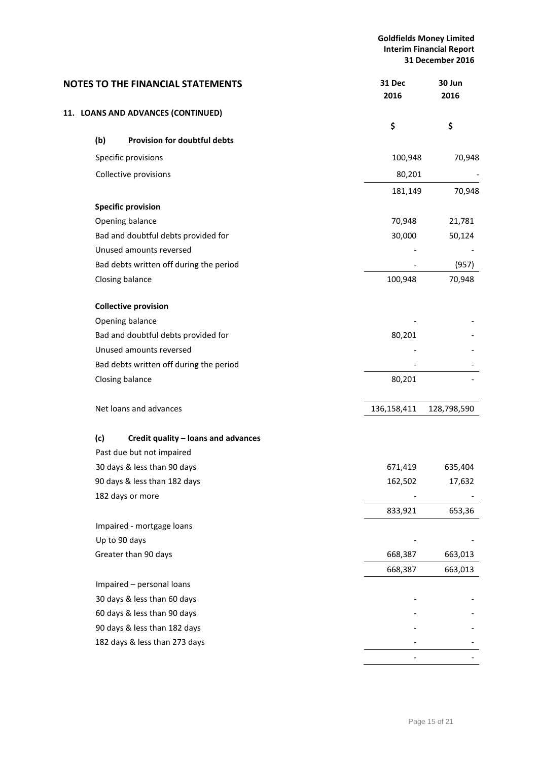# **Goldfields Money Limited Interim Financial Report 31 December 2016**

| <b>NOTES TO THE FINANCIAL STATEMENTS</b>   | 31 Dec<br>2016 | 30 Jun<br>2016 |         |
|--------------------------------------------|----------------|----------------|---------|
| 11. LOANS AND ADVANCES (CONTINUED)         |                |                |         |
|                                            | \$             | \$             |         |
| (b)<br>Provision for doubtful debts        |                |                |         |
| Specific provisions                        |                | 100,948        | 70,948  |
| Collective provisions                      |                | 80,201         |         |
|                                            |                | 181,149        | 70,948  |
| <b>Specific provision</b>                  |                |                |         |
| Opening balance                            |                | 70,948         | 21,781  |
| Bad and doubtful debts provided for        |                | 30,000         | 50,124  |
| Unused amounts reversed                    |                |                |         |
| Bad debts written off during the period    |                |                | (957)   |
| Closing balance                            | 100,948        |                | 70,948  |
| <b>Collective provision</b>                |                |                |         |
| Opening balance                            |                |                |         |
| Bad and doubtful debts provided for        |                | 80,201         |         |
| Unused amounts reversed                    |                |                |         |
| Bad debts written off during the period    |                |                |         |
| Closing balance                            | 80,201         |                |         |
| Net loans and advances                     | 136,158,411    | 128,798,590    |         |
| (c)<br>Credit quality - loans and advances |                |                |         |
| Past due but not impaired                  |                |                |         |
| 30 days & less than 90 days                | 671,419        |                | 635,404 |
| 90 days & less than 182 days               | 162,502        |                | 17,632  |
| 182 days or more                           |                |                |         |
|                                            | 833,921        |                | 653,36  |
| Impaired - mortgage loans                  |                |                |         |
| Up to 90 days                              |                |                |         |
| Greater than 90 days                       | 668,387        |                | 663,013 |
|                                            | 668,387        |                | 663,013 |
| Impaired - personal loans                  |                |                |         |
| 30 days & less than 60 days                |                |                |         |
| 60 days & less than 90 days                |                |                |         |
| 90 days & less than 182 days               |                |                |         |
| 182 days & less than 273 days              |                |                |         |
|                                            |                |                |         |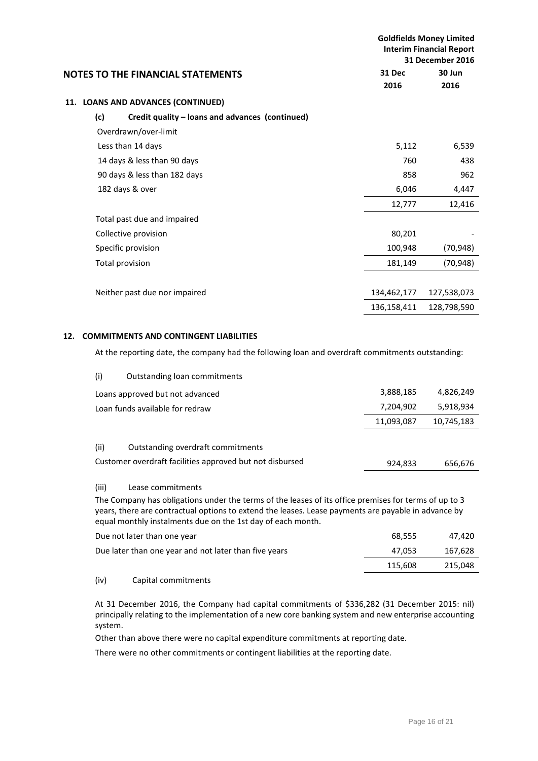|                                                        |             | <b>Goldfields Money Limited</b><br><b>Interim Financial Report</b><br>31 December 2016 |
|--------------------------------------------------------|-------------|----------------------------------------------------------------------------------------|
| <b>NOTES TO THE FINANCIAL STATEMENTS</b>               | 31 Dec      | 30 Jun                                                                                 |
|                                                        | 2016        | 2016                                                                                   |
| 11. LOANS AND ADVANCES (CONTINUED)                     |             |                                                                                        |
| (c)<br>Credit quality – loans and advances (continued) |             |                                                                                        |
| Overdrawn/over-limit                                   |             |                                                                                        |
| Less than 14 days                                      | 5,112       | 6,539                                                                                  |
| 14 days & less than 90 days                            | 760         | 438                                                                                    |
| 90 days & less than 182 days                           | 858         | 962                                                                                    |
| 182 days & over                                        | 6,046       | 4,447                                                                                  |
|                                                        | 12,777      | 12,416                                                                                 |
| Total past due and impaired                            |             |                                                                                        |
| Collective provision                                   | 80,201      |                                                                                        |
| Specific provision                                     | 100,948     | (70, 948)                                                                              |
| Total provision                                        | 181,149     | (70, 948)                                                                              |
|                                                        |             |                                                                                        |
| Neither past due nor impaired                          | 134,462,177 | 127,538,073                                                                            |
|                                                        | 136,158,411 | 128,798,590                                                                            |
|                                                        |             |                                                                                        |

# **12. COMMITMENTS AND CONTINGENT LIABILITIES**

At the reporting date, the company had the following loan and overdraft commitments outstanding:

| (i)<br>Outstanding loan commitments                                                                   |            |            |
|-------------------------------------------------------------------------------------------------------|------------|------------|
| Loans approved but not advanced                                                                       | 3,888,185  | 4,826,249  |
| Loan funds available for redraw                                                                       | 7,204,902  | 5,918,934  |
|                                                                                                       | 11,093,087 | 10,745,183 |
| (ii)<br>Outstanding overdraft commitments<br>Customer overdraft facilities approved but not disbursed | 924,833    | 656,676    |

#### (iii) Lease commitments

The Company has obligations under the terms of the leases of its office premises for terms of up to 3 years, there are contractual options to extend the leases. Lease payments are payable in advance by equal monthly instalments due on the 1st day of each month.

| Due not later than one year                           | 68.555  | 47.420  |
|-------------------------------------------------------|---------|---------|
| Due later than one year and not later than five years | 47.053  | 167,628 |
|                                                       | 115.608 | 215.048 |
| $\cdots$<br>- - -                                     |         |         |

# (iv) Capital commitments

At 31 December 2016, the Company had capital commitments of \$336,282 (31 December 2015: nil) principally relating to the implementation of a new core banking system and new enterprise accounting system.

Other than above there were no capital expenditure commitments at reporting date.

There were no other commitments or contingent liabilities at the reporting date.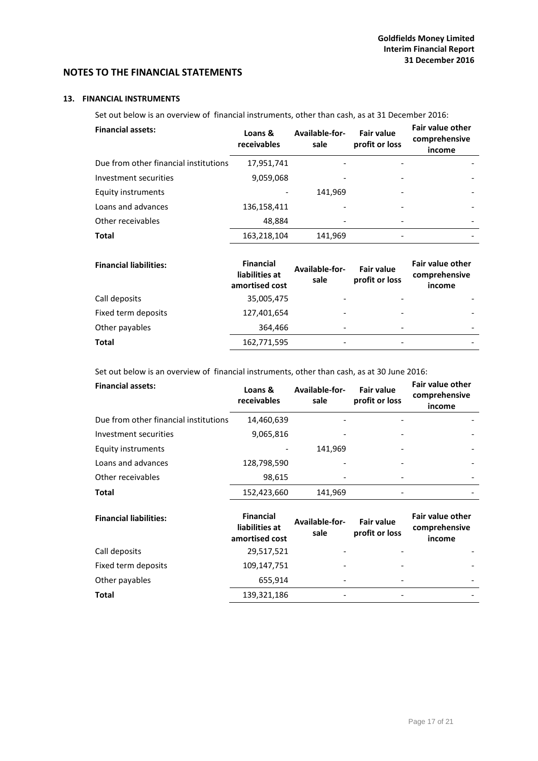# **13. FINANCIAL INSTRUMENTS**

Set out below is an overview of financial instruments, other than cash, as at 31 December 2016:

| Loans &<br>receivables | Available-for-<br>sale | <b>Fair value</b><br>profit or loss | <b>Fair value other</b><br>comprehensive<br>income |
|------------------------|------------------------|-------------------------------------|----------------------------------------------------|
| 17,951,741             |                        |                                     |                                                    |
| 9,059,068              |                        |                                     |                                                    |
|                        | 141,969                |                                     |                                                    |
| 136,158,411            |                        |                                     |                                                    |
| 48,884                 |                        |                                     |                                                    |
| 163,218,104            | 141,969                |                                     |                                                    |
|                        |                        |                                     |                                                    |

| <b>Financial liabilities:</b> | <b>Financial</b><br>liabilities at<br>amortised cost | Available-for-<br>sale   | <b>Fair value</b><br>profit or loss | <b>Fair value other</b><br>comprehensive<br>income |
|-------------------------------|------------------------------------------------------|--------------------------|-------------------------------------|----------------------------------------------------|
| Call deposits                 | 35,005,475                                           |                          |                                     |                                                    |
| Fixed term deposits           | 127,401,654                                          | ٠                        |                                     |                                                    |
| Other payables                | 364.466                                              | $\overline{\phantom{0}}$ | $\overline{\phantom{a}}$            |                                                    |
| Total                         | 162,771,595                                          | $\overline{\phantom{0}}$ |                                     |                                                    |

Set out below is an overview of financial instruments, other than cash, as at 30 June 2016:

| <b>Financial assets:</b>              | Loans &<br>receivables | Available-for-<br>sale | <b>Fair value</b><br>profit or loss | <b>Fair value other</b><br>comprehensive<br>income |
|---------------------------------------|------------------------|------------------------|-------------------------------------|----------------------------------------------------|
| Due from other financial institutions | 14,460,639             |                        |                                     |                                                    |
| Investment securities                 | 9,065,816              |                        |                                     |                                                    |
| Equity instruments                    |                        | 141,969                |                                     |                                                    |
| Loans and advances                    | 128,798,590            |                        |                                     |                                                    |
| Other receivables                     | 98,615                 |                        |                                     |                                                    |
| <b>Total</b>                          | 152,423,660            | 141,969                |                                     |                                                    |
|                                       |                        |                        |                                     |                                                    |

| <b>Financial liabilities:</b> | <b>Financial</b><br>liabilities at<br>amortised cost | Available-for-<br>sale       | <b>Fair value</b><br>profit or loss | <b>Fair value other</b><br>comprehensive<br>income |
|-------------------------------|------------------------------------------------------|------------------------------|-------------------------------------|----------------------------------------------------|
| Call deposits                 | 29,517,521                                           | $\qquad \qquad \blacksquare$ |                                     |                                                    |
| Fixed term deposits           | 109,147,751                                          | $\overline{\phantom{a}}$     |                                     |                                                    |
| Other payables                | 655,914                                              | $\overline{\phantom{a}}$     |                                     | -                                                  |
| <b>Total</b>                  | 139,321,186                                          | $\overline{\phantom{a}}$     |                                     |                                                    |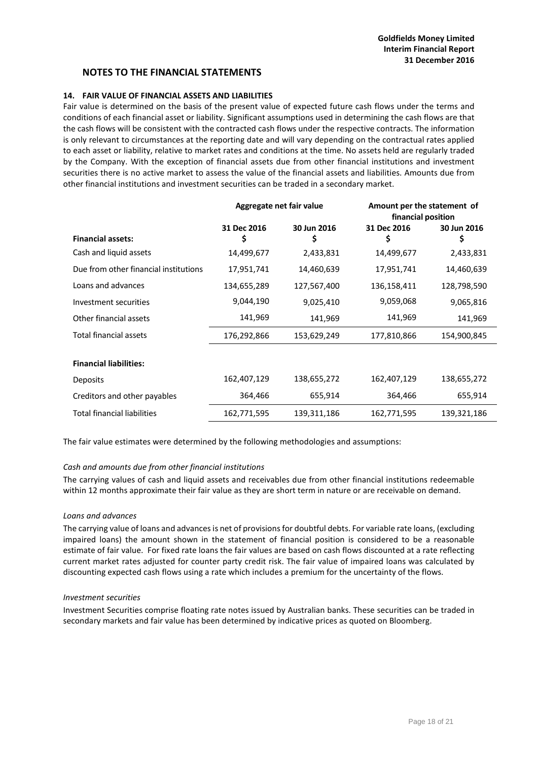## **14. FAIR VALUE OF FINANCIAL ASSETS AND LIABILITIES**

Fair value is determined on the basis of the present value of expected future cash flows under the terms and conditions of each financial asset or liability. Significant assumptions used in determining the cash flows are that the cash flows will be consistent with the contracted cash flows under the respective contracts. The information is only relevant to circumstances at the reporting date and will vary depending on the contractual rates applied to each asset or liability, relative to market rates and conditions at the time. No assets held are regularly traded by the Company. With the exception of financial assets due from other financial institutions and investment securities there is no active market to assess the value of the financial assets and liabilities. Amounts due from other financial institutions and investment securities can be traded in a secondary market.

|                                       | Aggregate net fair value |                  | Amount per the statement of<br>financial position |                   |
|---------------------------------------|--------------------------|------------------|---------------------------------------------------|-------------------|
| <b>Financial assets:</b>              | 31 Dec 2016<br>\$        | 30 Jun 2016<br>Ş | 31 Dec 2016<br>\$                                 | 30 Jun 2016<br>\$ |
| Cash and liquid assets                | 14,499,677               | 2,433,831        | 14,499,677                                        | 2,433,831         |
|                                       |                          |                  |                                                   |                   |
| Due from other financial institutions | 17,951,741               | 14,460,639       | 17,951,741                                        | 14,460,639        |
| Loans and advances                    | 134,655,289              | 127,567,400      | 136,158,411                                       | 128,798,590       |
| Investment securities                 | 9,044,190                | 9,025,410        | 9,059,068                                         | 9,065,816         |
| Other financial assets                | 141,969                  | 141,969          | 141,969                                           | 141,969           |
| Total financial assets                | 176,292,866              | 153,629,249      | 177,810,866                                       | 154,900,845       |
|                                       |                          |                  |                                                   |                   |
| <b>Financial liabilities:</b>         |                          |                  |                                                   |                   |
| <b>Deposits</b>                       | 162,407,129              | 138,655,272      | 162,407,129                                       | 138,655,272       |
| Creditors and other payables          | 364,466                  | 655,914          | 364,466                                           | 655,914           |
| <b>Total financial liabilities</b>    | 162,771,595              | 139,311,186      | 162,771,595                                       | 139,321,186       |

The fair value estimates were determined by the following methodologies and assumptions:

## *Cash and amounts due from other financial institutions*

The carrying values of cash and liquid assets and receivables due from other financial institutions redeemable within 12 months approximate their fair value as they are short term in nature or are receivable on demand.

#### *Loans and advances*

The carrying value of loans and advances is net of provisions for doubtful debts. For variable rate loans, (excluding impaired loans) the amount shown in the statement of financial position is considered to be a reasonable estimate of fair value. For fixed rate loans the fair values are based on cash flows discounted at a rate reflecting current market rates adjusted for counter party credit risk. The fair value of impaired loans was calculated by discounting expected cash flows using a rate which includes a premium for the uncertainty of the flows.

#### *Investment securities*

Investment Securities comprise floating rate notes issued by Australian banks. These securities can be traded in secondary markets and fair value has been determined by indicative prices as quoted on Bloomberg.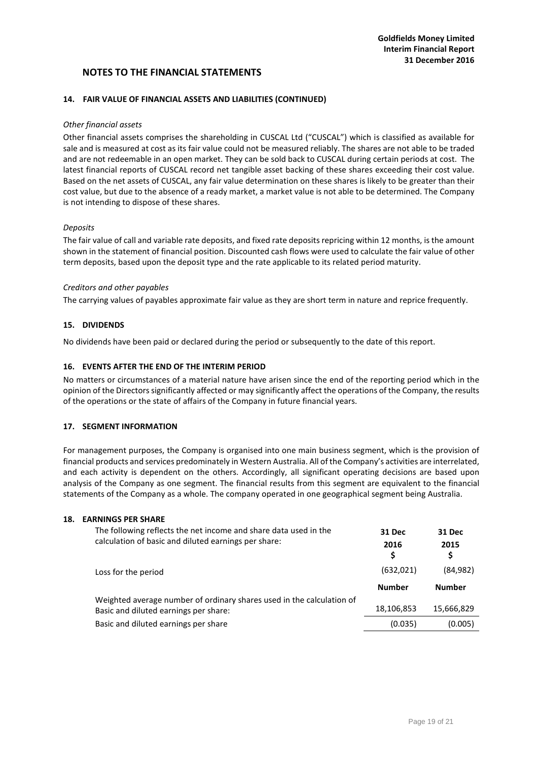## **14. FAIR VALUE OF FINANCIAL ASSETS AND LIABILITIES (CONTINUED)**

#### *Other financial assets*

Other financial assets comprises the shareholding in CUSCAL Ltd ("CUSCAL") which is classified as available for sale and is measured at cost as its fair value could not be measured reliably. The shares are not able to be traded and are not redeemable in an open market. They can be sold back to CUSCAL during certain periods at cost. The latest financial reports of CUSCAL record net tangible asset backing of these shares exceeding their cost value. Based on the net assets of CUSCAL, any fair value determination on these shares is likely to be greater than their cost value, but due to the absence of a ready market, a market value is not able to be determined. The Company is not intending to dispose of these shares.

#### *Deposits*

The fair value of call and variable rate deposits, and fixed rate deposits repricing within 12 months, is the amount shown in the statement of financial position. Discounted cash flows were used to calculate the fair value of other term deposits, based upon the deposit type and the rate applicable to its related period maturity.

#### *Creditors and other payables*

The carrying values of payables approximate fair value as they are short term in nature and reprice frequently.

## **15. DIVIDENDS**

No dividends have been paid or declared during the period or subsequently to the date of this report.

## **16. EVENTS AFTER THE END OF THE INTERIM PERIOD**

No matters or circumstances of a material nature have arisen since the end of the reporting period which in the opinion of the Directors significantly affected or may significantly affect the operations of the Company, the results of the operations or the state of affairs of the Company in future financial years.

## **17. SEGMENT INFORMATION**

For management purposes, the Company is organised into one main business segment, which is the provision of financial products and services predominately in Western Australia. All of the Company's activities are interrelated, and each activity is dependent on the others. Accordingly, all significant operating decisions are based upon analysis of the Company as one segment. The financial results from this segment are equivalent to the financial statements of the Company as a whole. The company operated in one geographical segment being Australia.

#### **18. EARNINGS PER SHARE**

| The following reflects the net income and share data used in the<br>calculation of basic and diluted earnings per share: | 31 Dec<br>2016<br>\$ | 31 Dec<br>2015 |
|--------------------------------------------------------------------------------------------------------------------------|----------------------|----------------|
| Loss for the period                                                                                                      | (632, 021)           | (84, 982)      |
|                                                                                                                          | <b>Number</b>        | <b>Number</b>  |
|                                                                                                                          |                      |                |
| Weighted average number of ordinary shares used in the calculation of                                                    |                      |                |
| Basic and diluted earnings per share:                                                                                    | 18,106,853           | 15,666,829     |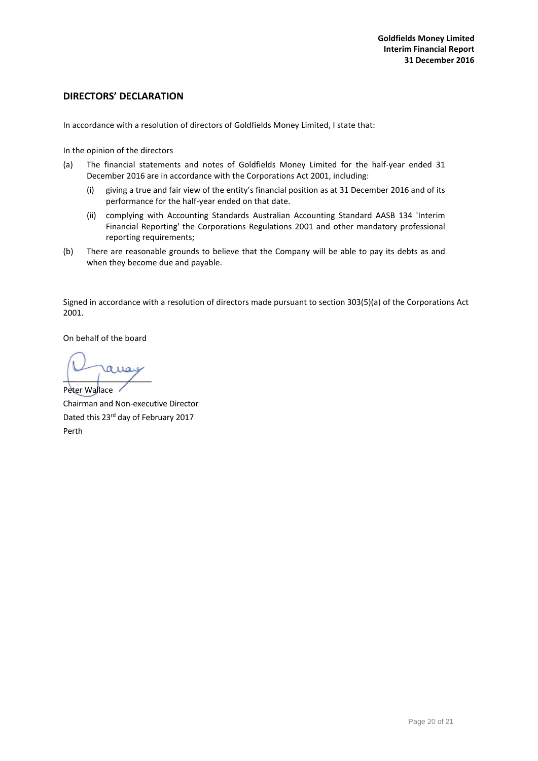# <span id="page-20-0"></span>**DIRECTORS' DECLARATION**

In accordance with a resolution of directors of Goldfields Money Limited, I state that:

In the opinion of the directors

- (a) The financial statements and notes of Goldfields Money Limited for the half-year ended 31 December 2016 are in accordance with the Corporations Act 2001, including:
	- (i) giving a true and fair view of the entity's financial position as at 31 December 2016 and of its performance for the half-year ended on that date.
	- (ii) complying with Accounting Standards Australian Accounting Standard AASB 134 'Interim Financial Reporting' the Corporations Regulations 2001 and other mandatory professional reporting requirements;
- (b) There are reasonable grounds to believe that the Company will be able to pay its debts as and when they become due and payable.

Signed in accordance with a resolution of directors made pursuant to section 303(5)(a) of the Corporations Act 2001.

On behalf of the board

 $110$ 

Peter Wallace Chairman and Non-executive Director Dated this 23rd day of February 2017 Perth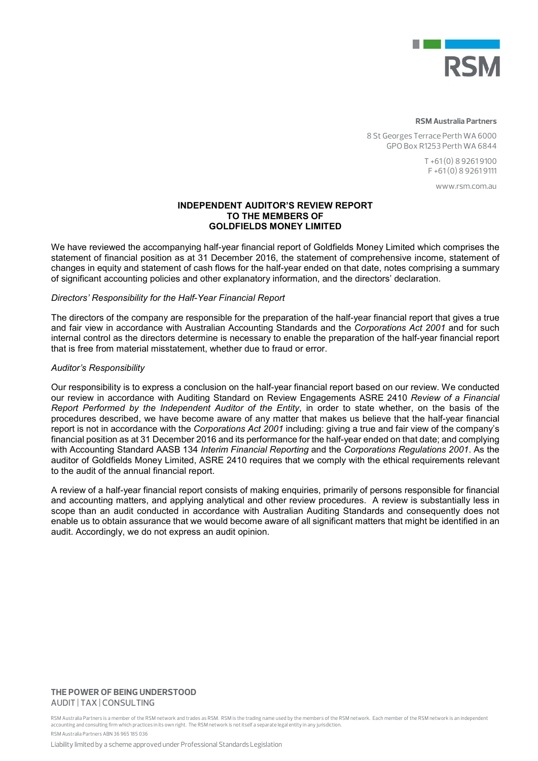

#### **RSM Australia Partners**

8 St Georges Terrace Perth WA 6000 GPO Box R1253 Perth WA 6844

> T +61 (0) 8 9261 9100 F +61 (0) 8 9261 9111

> > www.rsm.com.au

## INDEPENDENT AUDITOR'S REVIEW REPORT TO THE MEMBERS OF GOLDFIELDS MONEY LIMITED

We have reviewed the accompanying half-year financial report of Goldfields Money Limited which comprises the statement of financial position as at 31 December 2016, the statement of comprehensive income, statement of changes in equity and statement of cash flows for the half-year ended on that date, notes comprising a summary of significant accounting policies and other explanatory information, and the directors' declaration.

## *Directors' Responsibility for the Half-Year Financial Report*

The directors of the company are responsible for the preparation of the half-year financial report that gives a true and fair view in accordance with Australian Accounting Standards and the *Corporations Act 2001* and for such internal control as the directors determine is necessary to enable the preparation of the half-year financial report that is free from material misstatement, whether due to fraud or error.

#### *Auditor's Responsibility*

Our responsibility is to express a conclusion on the half-year financial report based on our review. We conducted our review in accordance with Auditing Standard on Review Engagements ASRE 2410 *Review of a Financial Report Performed by the Independent Auditor of the Entity*, in order to state whether, on the basis of the procedures described, we have become aware of any matter that makes us believe that the half-year financial report is not in accordance with the *Corporations Act 2001* including: giving a true and fair view of the company's financial position as at 31 December 2016 and its performance for the half-year ended on that date; and complying with Accounting Standard AASB 134 *Interim Financial Reporting* and the *Corporations Regulations 2001*. As the auditor of Goldfields Money Limited, ASRE 2410 requires that we comply with the ethical requirements relevant to the audit of the annual financial report.

A review of a half-year financial report consists of making enquiries, primarily of persons responsible for financial and accounting matters, and applying analytical and other review procedures. A review is substantially less in scope than an audit conducted in accordance with Australian Auditing Standards and consequently does not enable us to obtain assurance that we would become aware of all significant matters that might be identified in an audit. Accordingly, we do not express an audit opinion.

### **THE POWER OF BEING UNDERSTOOD** AUDIT | TAX | CONSULTING

RSM Australia Partners is a member of the RSM network and trades as RSM. RSM is the trading name used by the members of the RSM network. Each member of the RSM network is an independent accounting and consulting firm which practices in its own right. The RSM network is not itself a separate legal entity in any jurisdiction. RSM Australia Partners ABN 36 965 185 036